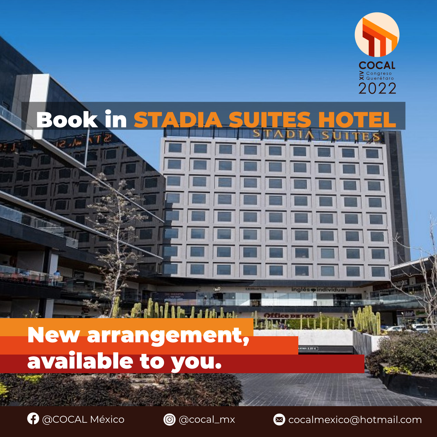

п.

**HAARDER** 

Deluxe Single room (for one or two people): **6 \$US dollars or 8** 

Deluxe Double room (for two people): **6 \$US dollars or 8 Cana-**



Deluxe Triple room (for three people): **5 \$US dollars or 6 Cana-**

# **STADÍA SUITES HOTEL** Book in STADIA SUITES HOTEL BREAKFAST CONFIDENTIAL CONTINUES. *The price of breakfast is per person and this will depend*

**Canadian dollars (120.00 pesos mexicanos)** 

dian dollars (120.00 pesos mexicanos) est anticonos mexicanos de la pesos mexicanos de la pesos mexicanos de la

Deluxe Triple room (for four people): **5 \$US dollars or 6 Cana-**



## New arrangement, **m** Superior Single room (for one person): **6 \$US dollars or 7 Cana**available to you.



**LODGING** 



*on the type of room where you stay.* 

dian dollars (100.000 pesos mexicanos) e a segundo de la construcción de la construcción de la construcción de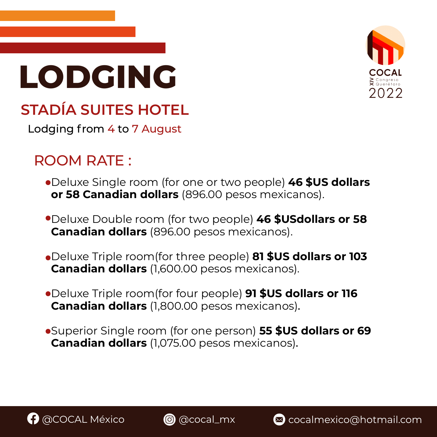

# **LODGING**



# **STADÍA SUITES HOTEL**

Lodging from 4 to 7 August

# ROOM RATE :

- Deluxe Single room (for one or two people) **46 \$US dollars or 58 Canadian dollars** (896.00 pesos mexicanos).
- Deluxe Double room (for two people) **46 \$USdollars or 58 Canadian dollars** (896.00 pesos mexicanos).
- Deluxe Triple room(for three people) **81 \$US dollars or 103 Canadian dollars** (1,600.00 pesos mexicanos).
- Deluxe Triple room(for four people) **91 \$US dollars or 116 Canadian dollars** (1,800.00 pesos mexicanos).
	-

#### Superior Single room (for one person) **55 \$US dollars or 69 Canadian dollars** (1,075.00 pesos mexicanos).



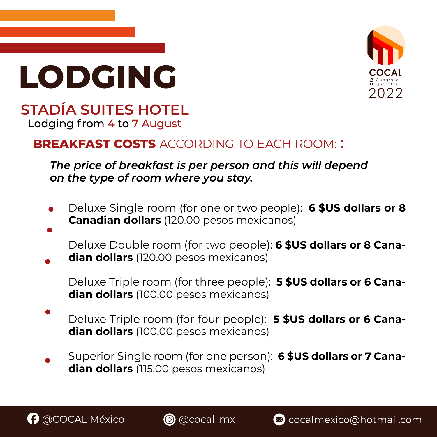





## **STADÍA SUITES HOTEL** Lodging from 4 to 7 August

## **BREAKFAST COSTS** ACCORDING TO EACH ROOM: :

- Deluxe Single room (for one or two people): **6 \$US dollars or 8 Canadian dollars** (120.00 pesos mexicanos)
	- Deluxe Double room (for two people): **6 \$US dollars or 8 Canadian dollars** (120.00 pesos mexicanos)
		- Deluxe Triple room (for three people): **5 \$US dollars or 6 Canadian dollars** (100.00 pesos mexicanos)
- Deluxe Triple room (for four people): **5 \$US dollars or 6 Cana-**

#### **dian dollars** (100.00 pesos mexicanos)

### Superior Single room (for one person): **6 \$US dollars or 7 Canadian dollars** (115.00 pesos mexicanos)





*The price of breakfast is per person and this will depend on the type of room where you stay.*